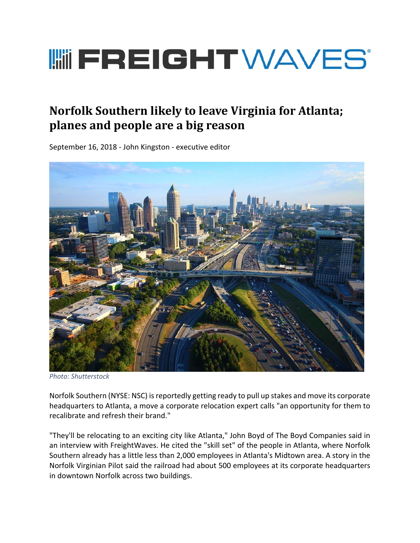## **I HEREIGHT WAVES**

## **Norfolk Southern likely to leave Virginia for Atlanta; planes and people are a big reason**

September 16, 2018 ‐ John Kingston ‐ executive editor



*Photo: Shutterstock*

Norfolk Southern (NYSE: NSC) is reportedly getting ready to pull up stakes and move its corporate headquarters to Atlanta, a move a corporate relocation expert calls "an opportunity for them to recalibrate and refresh their brand."

"They'll be relocating to an exciting city like Atlanta," John Boyd of The Boyd Companies said in an interview with FreightWaves. He cited the "skill set" of the people in Atlanta, where Norfolk Southern already has a little less than 2,000 employees in Atlanta's Midtown area. A story in the Norfolk Virginian Pilot said the railroad had about 500 employees at its corporate headquarters in downtown Norfolk across two buildings.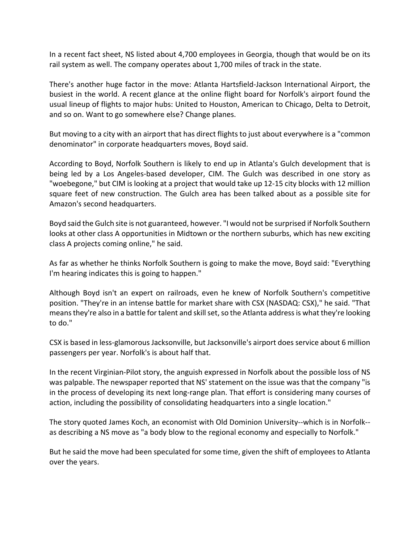In a recent fact sheet, NS listed about 4,700 employees in Georgia, though that would be on its rail system as well. The company operates about 1,700 miles of track in the state.

There's another huge factor in the move: Atlanta Hartsfield‐Jackson International Airport, the busiest in the world. A recent glance at the online flight board for Norfolk's airport found the usual lineup of flights to major hubs: United to Houston, American to Chicago, Delta to Detroit, and so on. Want to go somewhere else? Change planes.

But moving to a city with an airport that has direct flights to just about everywhere is a "common denominator" in corporate headquarters moves, Boyd said.

According to Boyd, Norfolk Southern is likely to end up in Atlanta's Gulch development that is being led by a Los Angeles-based developer, CIM. The Gulch was described in one story as "woebegone," but CIM is looking at a project that would take up 12‐15 city blocks with 12 million square feet of new construction. The Gulch area has been talked about as a possible site for Amazon's second headquarters.

Boyd said the Gulch site is not guaranteed, however. "I would not be surprised if Norfolk Southern looks at other class A opportunities in Midtown or the northern suburbs, which has new exciting class A projects coming online," he said.

As far as whether he thinks Norfolk Southern is going to make the move, Boyd said: "Everything I'm hearing indicates this is going to happen."

Although Boyd isn't an expert on railroads, even he knew of Norfolk Southern's competitive position. "They're in an intense battle for market share with CSX (NASDAQ: CSX)," he said. "That means they're also in a battle for talent and skill set, so the Atlanta address is what they're looking to do."

CSX is based in less‐glamorous Jacksonville, but Jacksonville's airport does service about 6 million passengers per year. Norfolk's is about half that.

In the recent Virginian‐Pilot story, the anguish expressed in Norfolk about the possible loss of NS was palpable. The newspaper reported that NS' statement on the issue was that the company "is in the process of developing its next long‐range plan. That effort is considering many courses of action, including the possibility of consolidating headquarters into a single location."

The story quoted James Koch, an economist with Old Dominion University--which is in Norfolk-as describing a NS move as "a body blow to the regional economy and especially to Norfolk."

But he said the move had been speculated for some time, given the shift of employees to Atlanta over the years.